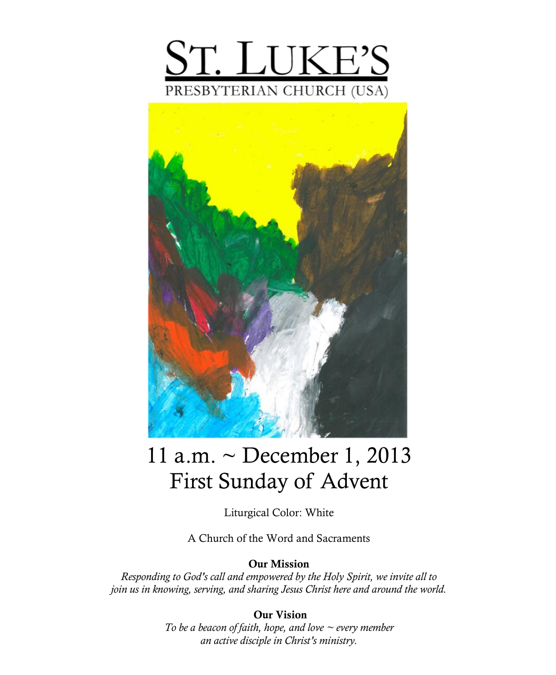



# 11 a.m. ~ December 1, 2013 First Sunday of Advent

Liturgical Color: White

A Church of the Word and Sacraments

#### **Our Mission**

*Responding to God's call and empowered by the Holy Spirit, we invite all to join us in knowing, serving, and sharing Jesus Christ here and around the world.*

#### **Our Vision**

*To be a beacon of faith, hope, and love ~ every member an active disciple in Christ's ministry.*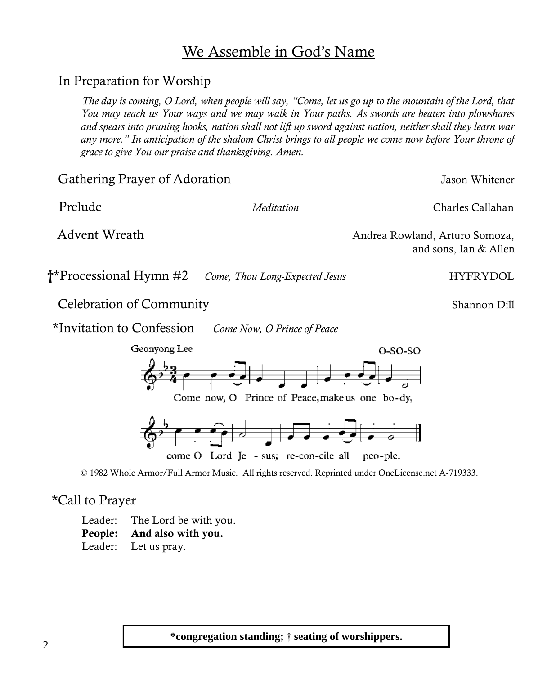# We Assemble in God's Name

# In Preparation for Worship

*The day is coming, O Lord, when people will say, "Come, let us go up to the mountain of the Lord, that You may teach us Your ways and we may walk in Your paths. As swords are beaten into plowshares and spears into pruning hooks, nation shall not lift up sword against nation, neither shall they learn war any more." In anticipation of the shalom Christ brings to all people we come now before Your throne of grace to give You our praise and thanksgiving. Amen.*

| Gathering Prayer of Adoration                                                                      |            | Jason Whitener                                          |  |
|----------------------------------------------------------------------------------------------------|------------|---------------------------------------------------------|--|
| Prelude                                                                                            | Meditation | Charles Callahan                                        |  |
| Advent Wreath                                                                                      |            | Andrea Rowland, Arturo Somoza,<br>and sons, Ian & Allen |  |
| <sup>*</sup> Processional Hymn #2 <i>Come, Thou Long-Expected Jesus</i>                            |            | <b>HYFRYDOL</b>                                         |  |
| Celebration of Community                                                                           |            | Shannon Dill                                            |  |
| *Invitation to Confession<br>Come Now, O Prince of Peace                                           |            |                                                         |  |
| Geonyong Lee                                                                                       |            | $O-SO-SO$                                               |  |
| Come now, O_Prince of Peace, make us one bo-dy,                                                    |            |                                                         |  |
| come O Lord Je - sus; re-con-cile all_ peo-ple.                                                    |            |                                                         |  |
| © 1982 Whole Armor/Full Armor Music. All rights reserved. Reprinted under OneLicense.net A-719333. |            |                                                         |  |

## \*Call to Prayer

Leader: The Lord be with you. **People: And also with you.** Leader: Let us pray.

**\*congregation standing;** † **seating of worshippers.**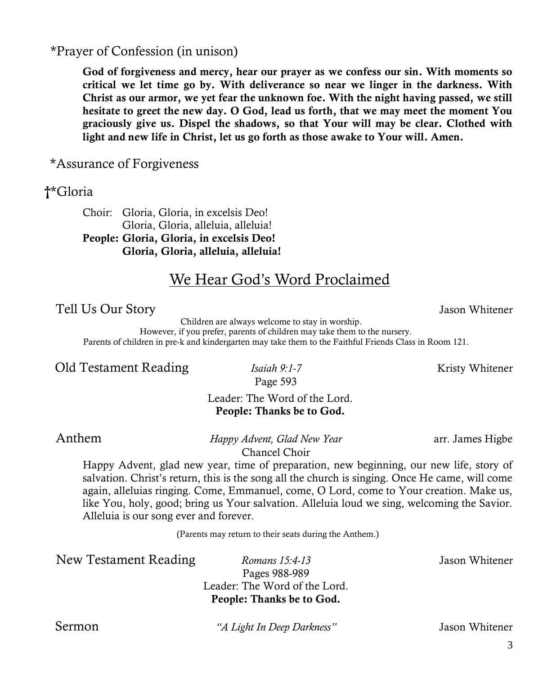\*Prayer of Confession (in unison)

**God of forgiveness and mercy, hear our prayer as we confess our sin. With moments so critical we let time go by. With deliverance so near we linger in the darkness. With Christ as our armor, we yet fear the unknown foe. With the night having passed, we still hesitate to greet the new day. O God, lead us forth, that we may meet the moment You graciously give us. Dispel the shadows, so that Your will may be clear. Clothed with light and new life in Christ, let us go forth as those awake to Your will. Amen.**

\*Assurance of Forgiveness

#### **†**\*Gloria

Choir: Gloria, Gloria, in excelsis Deo! Gloria, Gloria, alleluia, alleluia! **People: Gloria, Gloria, in excelsis Deo! Gloria, Gloria, alleluia, alleluia!**

# We Hear God's Word Proclaimed

Tell Us Our Story Jason Whitener

 Children are always welcome to stay in worship. However, if you prefer, parents of children may take them to the nursery. Parents of children in pre-k and kindergarten may take them to the Faithful Friends Class in Room 121.

Old Testament Reading *Isaiah 9:1-7* Kristy Whitener

Page 593

Leader: The Word of the Lord.

**People: Thanks be to God.** 

Anthem *Happy Advent, Glad New Year* arr. James Higbe Chancel Choir

Happy Advent, glad new year, time of preparation, new beginning, our new life, story of salvation. Christ's return, this is the song all the church is singing. Once He came, will come again, alleluias ringing. Come, Emmanuel, come, O Lord, come to Your creation. Make us, like You, holy, good; bring us Your salvation. Alleluia loud we sing, welcoming the Savior. Alleluia is our song ever and forever.

(Parents may return to their seats during the Anthem.)

New Testament Reading *Romans 15:4-13* Jason Whitener

Pages 988-989 Leader: The Word of the Lord. **People: Thanks be to God.**

Sermon *"A Light In Deep Darkness"* Jason Whitener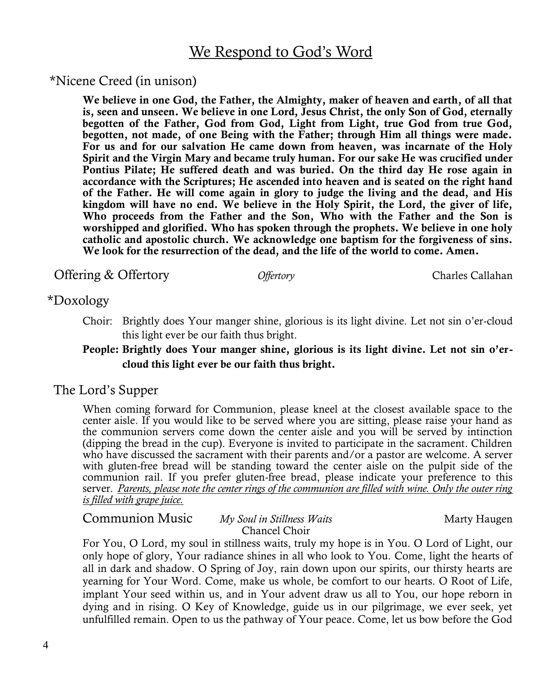# We Respond to God's Word

\*Nicene Creed (in unison)

**We believe in one God, the Father, the Almighty, maker of heaven and earth, of all that is, seen and unseen. We believe in one Lord, Jesus Christ, the only Son of God, eternally begotten of the Father, God from God, Light from Light, true God from true God, begotten, not made, of one Being with the Father; through Him all things were made. For us and for our salvation He came down from heaven, was incarnate of the Holy Spirit and the Virgin Mary and became truly human. For our sake He was crucified under Pontius Pilate; He suffered death and was buried. On the third day He rose again in accordance with the Scriptures; He ascended into heaven and is seated on the right hand of the Father. He will come again in glory to judge the living and the dead, and His kingdom will have no end. We believe in the Holy Spirit, the Lord, the giver of life, Who proceeds from the Father and the Son, Who with the Father and the Son is worshipped and glorified. Who has spoken through the prophets. We believe in one holy catholic and apostolic church. We acknowledge one baptism for the forgiveness of sins. We look for the resurrection of the dead, and the life of the world to come. Amen.**

*Offering & Offertory <i>Offertory Offertory* Charles Callahan

## \*Doxology

Choir: Brightly does Your manger shine, glorious is its light divine. Let not sin o'er-cloud this light ever be our faith thus bright.

#### **People: Brightly does Your manger shine, glorious is its light divine. Let not sin o'ercloud this light ever be our faith thus bright.**

#### The Lord's Supper

When coming forward for Communion, please kneel at the closest available space to the center aisle. If you would like to be served where you are sitting, please raise your hand as the communion servers come down the center aisle and you will be served by intinction (dipping the bread in the cup). Everyone is invited to participate in the sacrament. Children who have discussed the sacrament with their parents and/or a pastor are welcome. A server with gluten-free bread will be standing toward the center aisle on the pulpit side of the communion rail. If you prefer gluten-free bread, please indicate your preference to this server. *Parents, please note the center rings of the communion are filled with wine. Only the outer ring is filled with grape juice.* 

#### Communion Music *My Soul in Stillness Waits* **Marty Haugen**

# Chancel Choir

For You, O Lord, my soul in stillness waits, truly my hope is in You. O Lord of Light, our only hope of glory, Your radiance shines in all who look to You. Come, light the hearts of all in dark and shadow. O Spring of Joy, rain down upon our spirits, our thirsty hearts are yearning for Your Word. Come, make us whole, be comfort to our hearts. O Root of Life, implant Your seed within us, and in Your advent draw us all to You, our hope reborn in dying and in rising. O Key of Knowledge, guide us in our pilgrimage, we ever seek, yet unfulfilled remain. Open to us the pathway of Your peace. Come, let us bow before the God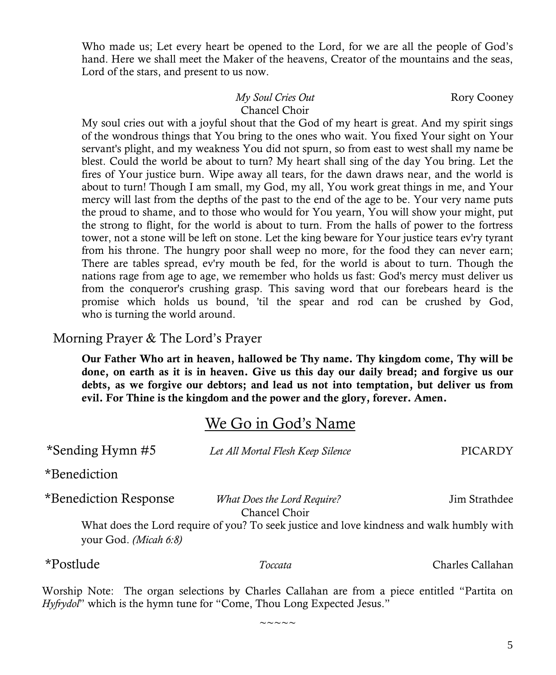Who made us; Let every heart be opened to the Lord, for we are all the people of God's hand. Here we shall meet the Maker of the heavens, Creator of the mountains and the seas, Lord of the stars, and present to us now.

#### *My Soul Cries Out* Rory Cooney Chancel Choir

My soul cries out with a joyful shout that the God of my heart is great. And my spirit sings of the wondrous things that You bring to the ones who wait. You fixed Your sight on Your servant's plight, and my weakness You did not spurn, so from east to west shall my name be blest. Could the world be about to turn? My heart shall sing of the day You bring. Let the fires of Your justice burn. Wipe away all tears, for the dawn draws near, and the world is about to turn! Though I am small, my God, my all, You work great things in me, and Your mercy will last from the depths of the past to the end of the age to be. Your very name puts the proud to shame, and to those who would for You yearn, You will show your might, put the strong to flight, for the world is about to turn. From the halls of power to the fortress tower, not a stone will be left on stone. Let the king beware for Your justice tears ev'ry tyrant from his throne. The hungry poor shall weep no more, for the food they can never earn; There are tables spread, ev'ry mouth be fed, for the world is about to turn. Though the nations rage from age to age, we remember who holds us fast: God's mercy must deliver us from the conqueror's crushing grasp. This saving word that our forebears heard is the promise which holds us bound, 'til the spear and rod can be crushed by God, who is turning the world around.

## Morning Prayer & The Lord's Prayer

**Our Father Who art in heaven, hallowed be Thy name. Thy kingdom come, Thy will be done, on earth as it is in heaven. Give us this day our daily bread; and forgive us our debts, as we forgive our debtors; and lead us not into temptation, but deliver us from evil. For Thine is the kingdom and the power and the glory, forever. Amen.**

# We Go in God's Name

| *Sending Hymn #5      | Let All Mortal Flesh Keep Silence                                                         | <b>PICARDY</b>   |
|-----------------------|-------------------------------------------------------------------------------------------|------------------|
| *Benediction          |                                                                                           |                  |
| *Benediction Response | <i>What Does the Lord Require?</i><br>Chancel Choir                                       | Jim Strathdee    |
| your God. (Micah 6:8) | What does the Lord require of you? To seek justice and love kindness and walk humbly with |                  |
| *Postlude             | Toccata                                                                                   | Charles Callahan |

Worship Note: The organ selections by Charles Callahan are from a piece entitled "Partita on *Hyfrydol*" which is the hymn tune for "Come, Thou Long Expected Jesus."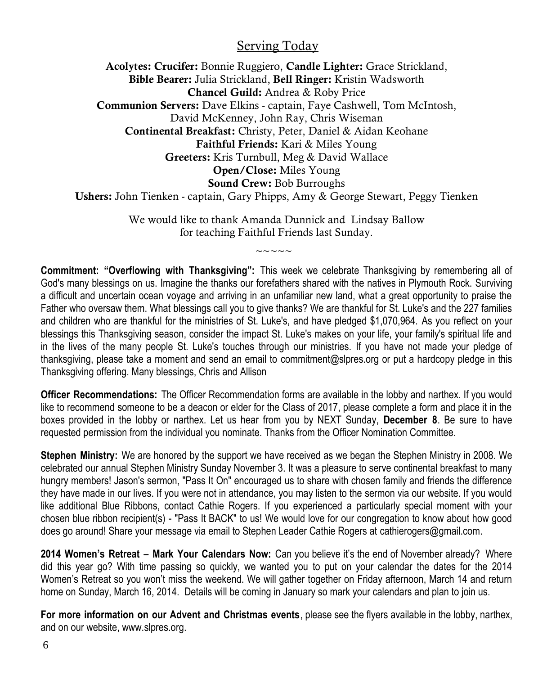## Serving Today

**Acolytes: Crucifer:** Bonnie Ruggiero, **Candle Lighter:** Grace Strickland, **Bible Bearer:** Julia Strickland, **Bell Ringer:** Kristin Wadsworth **Chancel Guild:** Andrea & Roby Price **Communion Servers:** Dave Elkins - captain, Faye Cashwell, Tom McIntosh, David McKenney, John Ray, Chris Wiseman **Continental Breakfast:** Christy, Peter, Daniel & Aidan Keohane **Faithful Friends:** Kari & Miles Young **Greeters:** Kris Turnbull, Meg & David Wallace **Open/Close:** Miles Young **Sound Crew:** Bob Burroughs **Ushers:** John Tienken - captain, Gary Phipps, Amy & George Stewart, Peggy Tienken

> We would like to thank Amanda Dunnick and Lindsay Ballow for teaching Faithful Friends last Sunday.

> > ~~~~~

**Commitment: "Overflowing with Thanksgiving":** This week we celebrate Thanksgiving by remembering all of God's many blessings on us. Imagine the thanks our forefathers shared with the natives in Plymouth Rock. Surviving a difficult and uncertain ocean voyage and arriving in an unfamiliar new land, what a great opportunity to praise the Father who oversaw them. What blessings call you to give thanks? We are thankful for St. Luke's and the 227 families and children who are thankful for the ministries of St. Luke's, and have pledged \$1,070,964. As you reflect on your blessings this Thanksgiving season, consider the impact St. Luke's makes on your life, your family's spiritual life and in the lives of the many people St. Luke's touches through our ministries. If you have not made your pledge of thanksgiving, please take a moment and send an email to [commitment@slpres.org](mailto:commitment@slpres.org) or put a hardcopy pledge in this Thanksgiving offering. Many blessings, Chris and Allison

**Officer Recommendations:** The Officer Recommendation forms are available in the lobby and narthex. If you would like to recommend someone to be a deacon or elder for the Class of 2017, please complete a form and place it in the boxes provided in the lobby or narthex. Let us hear from you by NEXT Sunday, **December 8**. Be sure to have requested permission from the individual you nominate. Thanks from the Officer Nomination Committee.

**Stephen Ministry:** We are honored by the support we have received as we began the Stephen Ministry in 2008. We celebrated our annual Stephen Ministry Sunday November 3. It was a pleasure to serve continental breakfast to many hungry members! Jason's sermon, "Pass It On" encouraged us to share with chosen family and friends the difference they have made in our lives. If you were not in attendance, you may listen to the sermon via our website. If you would like additional Blue Ribbons, contact Cathie Rogers. If you experienced a particularly special moment with your chosen blue ribbon recipient(s) - "Pass It BACK" to us! We would love for our congregation to know about how good does go around! Share your message via email to Stephen Leader Cathie Rogers at [cathierogers@gmail.com.](mailto:cathierogers@gmail.com)

**2014 Women's Retreat – Mark Your Calendars Now:** Can you believe it's the end of November already? Where did this year go? With time passing so quickly, we wanted you to put on your calendar the dates for the 2014 Women's Retreat so you won't miss the weekend. We will gather together on Friday afternoon, March 14 and return home on Sunday, March 16, 2014. Details will be coming in January so mark your calendars and plan to join us.

**For more information on our Advent and Christmas events**, please see the flyers available in the lobby, narthex, and on our website, www.slpres.org.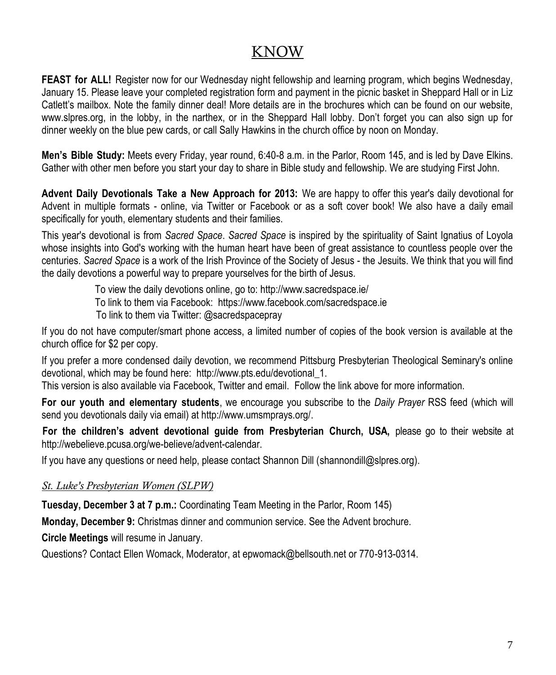# KNOW

**FEAST for ALL!** Register now for our Wednesday night fellowship and learning program, which begins Wednesday, January 15. Please leave your completed registration form and payment in the picnic basket in Sheppard Hall or in Liz Catlett's mailbox. Note the family dinner deal! More details are in the brochures which can be found on our website, [www.slpres.org,](http://www.slpres.org) in the lobby, in the narthex, or in the Sheppard Hall lobby. Don't forget you can also sign up for dinner weekly on the blue pew cards, or call Sally Hawkins in the church office by noon on Monday.

**Men's Bible Study:** Meets every Friday, year round, 6:40-8 a.m. in the Parlor, Room 145, and is led by Dave Elkins. Gather with other men before you start your day to share in Bible study and fellowship. We are studying First John.

**Advent Daily Devotionals Take a New Approach for 2013:** We are happy to offer this year's daily devotional for Advent in multiple formats - online, via Twitter or Facebook or as a soft cover book! We also have a daily email specifically for youth, elementary students and their families.

This year's devotional is from *Sacred Space*. *Sacred Space* is inspired by the spirituality of Saint Ignatius of Loyola whose insights into God's working with the human heart have been of great assistance to countless people over the centuries. *Sacred Space* is a work of the Irish Province of the Society of Jesus - the Jesuits. We think that you will find the daily devotions a powerful way to prepare yourselves for the birth of Jesus.

> To view the daily devotions online, go to:<http://www.sacredspace.ie/> To link to them via Facebook: <https://www.facebook.com/sacredspace.ie> To link to them via Twitter: @sacredspacepray

If you do not have computer/smart phone access, a limited number of copies of the book version is available at the church office for \$2 per copy.

If you prefer a more condensed daily devotion, we recommend Pittsburg Presbyterian Theological Seminary's online devotional, which may be found here: [http://www.pts.edu/devotional\\_1.](http://www.pts.edu/devotional_1)

This version is also available via Facebook, Twitter and email. Follow the link above for more information.

**For our youth and elementary students**, we encourage you subscribe to the *Daily Prayer* RSS feed (which will send you devotionals daily via email) at [http://www.umsmprays.org/.](http://www.umsmprays.org/)

**For the children's advent devotional guide from Presbyterian Church, USA,** please go to their website at http://webelieve.pcusa.org/we-believe/advent-calendar.

If you have any questions or need help, please contact Shannon Dill ([shannondill@slpres.org\).](mailto:shannondill@slpres.org)

#### *St. Luke's Presbyterian Women (SLPW)*

**Tuesday, December 3 at 7 p.m.:** Coordinating Team Meeting in the Parlor, Room 145)

**Monday, December 9:** Christmas dinner and communion service. See the Advent brochure.

**Circle Meetings** will resume in January.

Questions? Contact Ellen Womack, Moderator, at epwomack@bellsouth.net or 770-913-0314.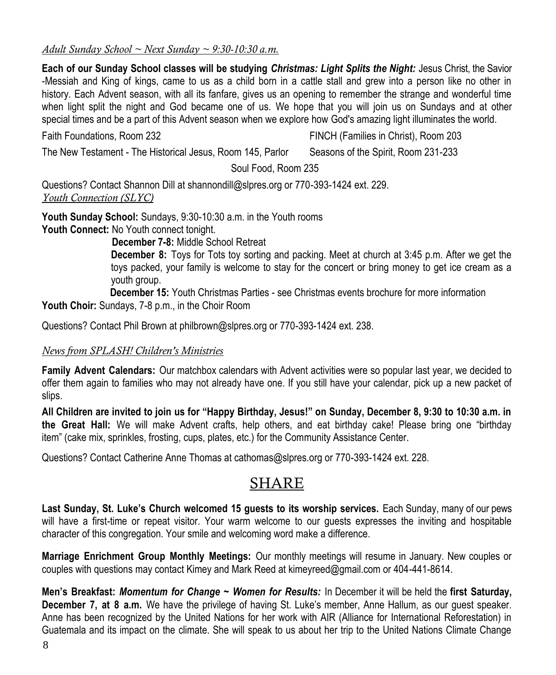#### *Adult Sunday School ~ Next Sunday ~ 9:30-10:30 a.m.*

**Each of our Sunday School classes will be studying** *Christmas: Light Splits the Night:* Jesus Christ, the Savior -Messiah and King of kings, came to us as a child born in a cattle stall and grew into a person like no other in history. Each Advent season, with all its fanfare, gives us an opening to remember the strange and wonderful time when light split the night and God became one of us. We hope that you will join us on Sundays and at other special times and be a part of this Advent season when we explore how God's amazing light illuminates the world.

Faith Foundations, Room 232 FINCH (Families in Christ), Room 203

The New Testament - The Historical Jesus, Room 145, Parlor Seasons of the Spirit, Room 231-233

Soul Food, Room 235

Questions? Contact Shannon Dill at shannondill@slpres.org or 770-393-1424 ext. 229. *Youth Connection (SLYC)*

**Youth Sunday School:** Sundays, 9:30-10:30 a.m. in the Youth rooms **Youth Connect:** No Youth connect tonight.

**December 7-8:** Middle School Retreat

**December 8:** Toys for Tots toy sorting and packing. Meet at church at 3:45 p.m. After we get the toys packed, your family is welcome to stay for the concert or bring money to get ice cream as a youth group.

**December 15:** Youth Christmas Parties - see Christmas events brochure for more information **Youth Choir:** Sundays, 7-8 p.m., in the Choir Room

Questions? Contact Phil Brown at philbrown@slpres.org or 770-393-1424 ext. 238.

#### *News from SPLASH! Children's Ministries*

**Family Advent Calendars:** Our matchbox calendars with Advent activities were so popular last year, we decided to offer them again to families who may not already have one. If you still have your calendar, pick up a new packet of slips.

**All Children are invited to join us for "Happy Birthday, Jesus!" on Sunday, December 8, 9:30 to 10:30 a.m. in the Great Hall:** We will make Advent crafts, help others, and eat birthday cake! Please bring one "birthday item" (cake mix, sprinkles, frosting, cups, plates, etc.) for the Community Assistance Center.

Questions? Contact Catherine Anne Thomas at cathomas@slpres.org or 770-393-1424 ext. 228.

# SHARE

**Last Sunday, St. Luke's Church welcomed 15 guests to its worship services.** Each Sunday, many of our pews will have a first-time or repeat visitor. Your warm welcome to our guests expresses the inviting and hospitable character of this congregation. Your smile and welcoming word make a difference.

**Marriage Enrichment Group Monthly Meetings:** Our monthly meetings will resume in January. New couples or couples with questions may contact Kimey and Mark Reed at kimeyreed@gmail.com or 404-441-8614.

**Men's Breakfast:** *Momentum for Change ~ Women for Results:* In December it will be held the **first Saturday, December 7, at 8 a.m.** We have the privilege of having St. Luke's member, Anne Hallum, as our guest speaker. Anne has been recognized by the United Nations for her work with AIR (Alliance for International Reforestation) in Guatemala and its impact on the climate. She will speak to us about her trip to the United Nations Climate Change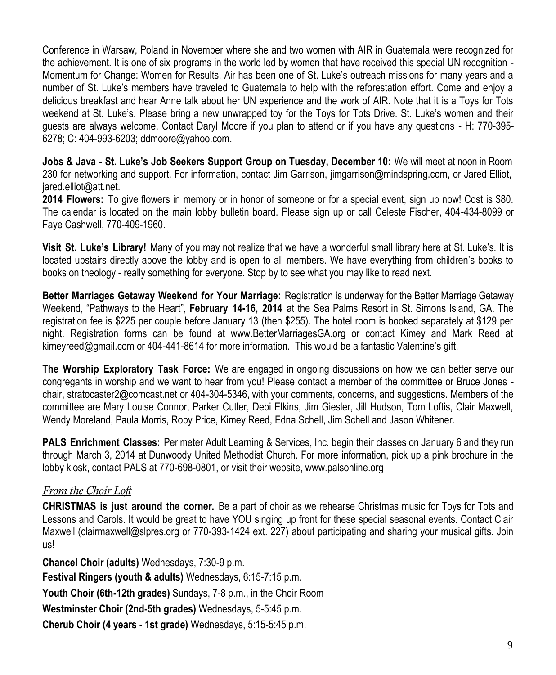Conference in Warsaw, Poland in November where she and two women with AIR in Guatemala were recognized for the achievement. It is one of six programs in the world led by women that have received this special UN recognition - Momentum for Change: Women for Results. Air has been one of St. Luke's outreach missions for many years and a number of St. Luke's members have traveled to Guatemala to help with the reforestation effort. Come and enjoy a delicious breakfast and hear Anne talk about her UN experience and the work of AIR. Note that it is a Toys for Tots weekend at St. Luke's. Please bring a new unwrapped toy for the Toys for Tots Drive. St. Luke's women and their guests are always welcome. Contact Daryl Moore if you plan to attend or if you have any questions - H: 770-395- 6278; C: 404-993-6203; [ddmoore@yahoo.com.](mailto:ddmoore@yahoo.com)

**Jobs & Java - St. Luke's Job Seekers Support Group on Tuesday, December 10:** We will meet at noon in Room 230 for networking and support. For information, contact Jim Garrison, jimgarrison@mindspring.com, or Jared Elliot, jared.elliot@att.net.

**2014 Flowers:** To give flowers in memory or in honor of someone or for a special event, sign up now! Cost is \$80. The calendar is located on the main lobby bulletin board. Please sign up or call Celeste Fischer, 404-434-8099 or Faye Cashwell, 770-409-1960.

**Visit St. Luke's Library!** Many of you may not realize that we have a wonderful small library here at St. Luke's. It is located upstairs directly above the lobby and is open to all members. We have everything from children's books to books on theology - really something for everyone. Stop by to see what you may like to read next.

**Better Marriages Getaway Weekend for Your Marriage:** Registration is underway for the Better Marriage Getaway Weekend, "Pathways to the Heart", **February 14-16, 2014** at the Sea Palms Resort in St. Simons Island, GA. The registration fee is \$225 per couple before January 13 (then \$255). The hotel room is booked separately at \$129 per night. Registration forms can be found at www.BetterMarriagesGA.org or contact Kimey and Mark Reed at kimeyreed@gmail.com or 404-441-8614 for more information. This would be a fantastic Valentine's gift.

**The Worship Exploratory Task Force:** We are engaged in ongoing discussions on how we can better serve our congregants in worship and we want to hear from you! Please contact a member of the committee or Bruce Jones chair, [stratocaster2@comcast.net](mailto:stratocaster2@comcast.net) or 404-304-5346, with your comments, concerns, and suggestions. Members of the committee are Mary Louise Connor, Parker Cutler, Debi Elkins, Jim Giesler, Jill Hudson, Tom Loftis, Clair Maxwell, Wendy Moreland, Paula Morris, Roby Price, Kimey Reed, Edna Schell, Jim Schell and Jason Whitener.

**PALS Enrichment Classes:** Perimeter Adult Learning & Services, Inc. begin their classes on January 6 and they run through March 3, 2014 at Dunwoody United Methodist Church. For more information, pick up a pink brochure in the lobby kiosk, contact PALS at 770-698-0801, or visit their website, www.palsonline.org

## *From the Choir Loft*

**CHRISTMAS is just around the corner.** Be a part of choir as we rehearse Christmas music for Toys for Tots and Lessons and Carols. It would be great to have YOU singing up front for these special seasonal events. Contact Clair Maxwell (clairmaxwell@slpres.org or 770-393-1424 ext. 227) about participating and sharing your musical gifts. Join us!

**Chancel Choir (adults)** Wednesdays, 7:30-9 p.m.

**Festival Ringers (youth & adults)** Wednesdays, 6:15-7:15 p.m.

**Youth Choir (6th-12th grades)** Sundays, 7-8 p.m., in the Choir Room

**Westminster Choir (2nd-5th grades)** Wednesdays, 5-5:45 p.m.

**Cherub Choir (4 years - 1st grade)** Wednesdays, 5:15-5:45 p.m.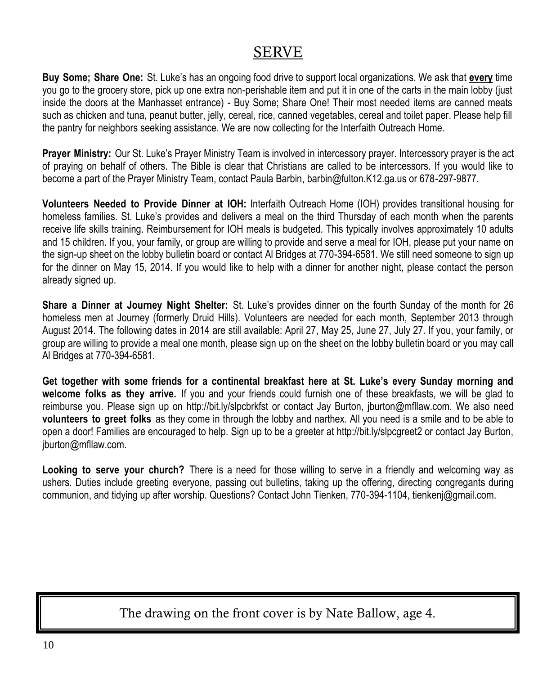# SERVE

**Buy Some; Share One:** St. Luke's has an ongoing food drive to support local organizations. We ask that **every** time you go to the grocery store, pick up one extra non-perishable item and put it in one of the carts in the main lobby (just inside the doors at the Manhasset entrance) - Buy Some; Share One! Their most needed items are canned meats such as chicken and tuna, peanut butter, jelly, cereal, rice, canned vegetables, cereal and toilet paper. Please help fill the pantry for neighbors seeking assistance. We are now collecting for the Interfaith Outreach Home.

**Prayer Ministry:** Our St. Luke's Prayer Ministry Team is involved in intercessory prayer. Intercessory prayer is the act of praying on behalf of others. The Bible is clear that Christians are called to be intercessors. If you would like to become a part of the Prayer Ministry Team, contact Paula Barbin, barbin@fulton.K12.ga.us or 678-297-9877.

**Volunteers Needed to Provide Dinner at IOH:** Interfaith Outreach Home (IOH) provides transitional housing for homeless families. St. Luke's provides and delivers a meal on the third Thursday of each month when the parents receive life skills training. Reimbursement for IOH meals is budgeted. This typically involves approximately 10 adults and 15 children. If you, your family, or group are willing to provide and serve a meal for IOH, please put your name on the sign-up sheet on the lobby bulletin board or contact Al Bridges at 770-394-6581. We still need someone to sign up for the dinner on May 15, 2014. If you would like to help with a dinner for another night, please contact the person already signed up.

**Share a Dinner at Journey Night Shelter:** St. Luke's provides dinner on the fourth Sunday of the month for 26 homeless men at Journey (formerly Druid Hills). Volunteers are needed for each month, September 2013 through August 2014. The following dates in 2014 are still available: April 27, May 25, June 27, July 27. If you, your family, or group are willing to provide a meal one month, please sign up on the sheet on the lobby bulletin board or you may call Al Bridges at 770-394-6581.

**Get together with some friends for a continental breakfast here at St. Luke's every Sunday morning and welcome folks as they arrive.** If you and your friends could furnish one of these breakfasts, we will be glad to reimburse you. Please sign up on http://bit.ly/slpcbrkfst or contact Jay Burton, jburton@mfllaw.com. We also need **volunteers to greet folks** as they come in through the lobby and narthex. All you need is a smile and to be able to open a door! Families are encouraged to help. Sign up to be a greeter at http://bit.ly/slpcgreet2 or contact Jay Burton, jburton@mfllaw.com.

**Looking to serve your church?** There is a need for those willing to serve in a friendly and welcoming way as ushers. Duties include greeting everyone, passing out bulletins, taking up the offering, directing congregants during communion, and tidying up after worship. Questions? Contact John Tienken, 770-394-1104, tienkenj@gmail.com.

The drawing on the front cover is by Nate Ballow, age 4.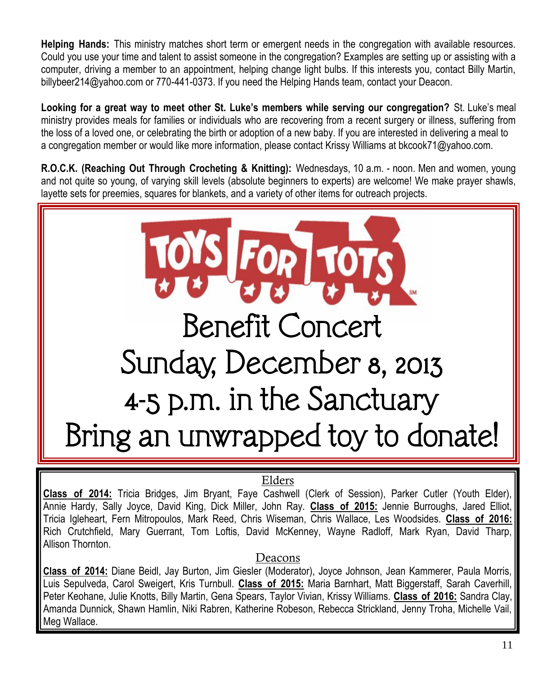**Helping Hands:** This ministry matches short term or emergent needs in the congregation with available resources. Could you use your time and talent to assist someone in the congregation? Examples are setting up or assisting with a computer, driving a member to an appointment, helping change light bulbs. If this interests you, contact Billy Martin, billybeer214@yahoo.com or 770-441-0373. If you need the Helping Hands team, contact your Deacon.

**Looking for a great way to meet other St. Luke's members while serving our congregation?** St. Luke's meal ministry provides meals for families or individuals who are recovering from a recent surgery or illness, suffering from the loss of a loved one, or celebrating the birth or adoption of a new baby. If you are interested in delivering a meal to a congregation member or would like more information, please contact Krissy Williams at bkcook71@yahoo.com.

**R.O.C.K. (Reaching Out Through Crocheting & Knitting):** Wednesdays, 10 a.m. - noon. Men and women, young and not quite so young, of varying skill levels (absolute beginners to experts) are welcome! We make prayer shawls, layette sets for preemies, squares for blankets, and a variety of other items for outreach projects.

# OYS FOR TOTS Benefit Concert Sunday, December 8, 2013 4-5 p.m. in the Sanctuary Bring an unwrapped toy to donate!

# Elders

**Class of 2014:** Tricia Bridges, Jim Bryant, Faye Cashwell (Clerk of Session), Parker Cutler (Youth Elder), Annie Hardy, Sally Joyce, David King, Dick Miller, John Ray. **Class of 2015:** Jennie Burroughs, Jared Elliot, Tricia Igleheart, Fern Mitropoulos, Mark Reed, Chris Wiseman, Chris Wallace, Les Woodsides. **Class of 2016:**  Rich Crutchfield, Mary Guerrant, Tom Loftis, David McKenney, Wayne Radloff, Mark Ryan, David Tharp, Allison Thornton.

## Deacons

**Class of 2014:** Diane Beidl, Jay Burton, Jim Giesler (Moderator), Joyce Johnson, Jean Kammerer, Paula Morris, Luis Sepulveda, Carol Sweigert, Kris Turnbull. **Class of 2015:** Maria Barnhart, Matt Biggerstaff, Sarah Caverhill, Peter Keohane, Julie Knotts, Billy Martin, Gena Spears, Taylor Vivian, Krissy Williams. **Class of 2016:** Sandra Clay, Amanda Dunnick, Shawn Hamlin, Niki Rabren, Katherine Robeson, Rebecca Strickland, Jenny Troha, Michelle Vail, Meg Wallace.